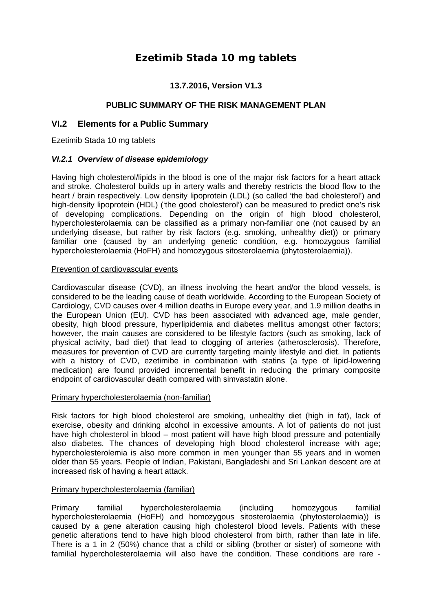# **Ezetimib Stada 10 mg tablets**

## **13.7.2016, Version V1.3**

## **PUBLIC SUMMARY OF THE RISK MANAGEMENT PLAN**

## **VI.2 Elements for a Public Summary**

Ezetimib Stada 10 mg tablets

### *VI.2.1 Overview of disease epidemiology*

Having high cholesterol/lipids in the blood is one of the major risk factors for a heart attack and stroke. Cholesterol builds up in artery walls and thereby restricts the blood flow to the heart / brain respectively. Low density lipoprotein (LDL) (so called 'the bad cholesterol') and high-density lipoprotein (HDL) ('the good cholesterol') can be measured to predict one's risk of developing complications. Depending on the origin of high blood cholesterol, hypercholesterolaemia can be classified as a primary non-familiar one (not caused by an underlying disease, but rather by risk factors (e.g. smoking, unhealthy diet)) or primary familiar one (caused by an underlying genetic condition, e.g. homozygous familial hypercholesterolaemia (HoFH) and homozygous sitosterolaemia (phytosterolaemia)).

### Prevention of cardiovascular events

Cardiovascular disease (CVD), an illness involving the heart and/or the blood vessels, is considered to be the leading cause of death worldwide. According to the European Society of Cardiology, CVD causes over 4 million deaths in Europe every year, and 1.9 million deaths in the European Union (EU). CVD has been associated with advanced age, male gender, obesity, high blood pressure, hyperlipidemia and diabetes mellitus amongst other factors; however, the main causes are considered to be lifestyle factors (such as smoking, lack of physical activity, bad diet) that lead to clogging of arteries (atherosclerosis). Therefore, measures for prevention of CVD are currently targeting mainly lifestyle and diet. In patients with a history of CVD, ezetimibe in combination with statins (a type of lipid-lowering medication) are found provided incremental benefit in reducing the primary composite endpoint of cardiovascular death compared with simvastatin alone.

### Primary hypercholesterolaemia (non-familiar)

Risk factors for high blood cholesterol are smoking, unhealthy diet (high in fat), lack of exercise, obesity and drinking alcohol in excessive amounts. A lot of patients do not just have high cholesterol in blood – most patient will have high blood pressure and potentially also diabetes. The chances of developing high blood cholesterol increase with age; hypercholesterolemia is also more common in men younger than 55 years and in women older than 55 years. People of Indian, Pakistani, Bangladeshi and Sri Lankan descent are at increased risk of having a heart attack.

### Primary hypercholesterolaemia (familiar)

Primary familial hypercholesterolaemia (including homozygous familial hypercholesterolaemia (HoFH) and homozygous sitosterolaemia (phytosterolaemia)) is caused by a gene alteration causing high cholesterol blood levels. Patients with these genetic alterations tend to have high blood cholesterol from birth, rather than late in life. There is a 1 in 2 (50%) chance that a child or sibling (brother or sister) of someone with familial hypercholesterolaemia will also have the condition. These conditions are rare -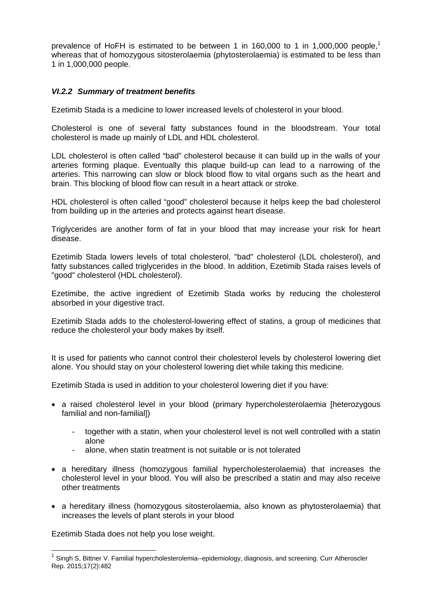prevalence of HoFH is estimated to be between 1 in 160,000 to 1 in 1,000,000 people,<sup>1</sup> whereas that of homozygous sitosterolaemia (phytosterolaemia) is estimated to be less than 1 in 1,000,000 people.

## *VI.2.2 Summary of treatment benefits*

Ezetimib Stada is a medicine to lower increased levels of cholesterol in your blood.

Cholesterol is one of several fatty substances found in the bloodstream. Your total cholesterol is made up mainly of LDL and HDL cholesterol.

LDL cholesterol is often called "bad" cholesterol because it can build up in the walls of your arteries forming plaque. Eventually this plaque build-up can lead to a narrowing of the arteries. This narrowing can slow or block blood flow to vital organs such as the heart and brain. This blocking of blood flow can result in a heart attack or stroke.

HDL cholesterol is often called "good" cholesterol because it helps keep the bad cholesterol from building up in the arteries and protects against heart disease.

Triglycerides are another form of fat in your blood that may increase your risk for heart disease.

Ezetimib Stada lowers levels of total cholesterol, "bad" cholesterol (LDL cholesterol), and fatty substances called triglycerides in the blood. In addition, Ezetimib Stada raises levels of "good" cholesterol (HDL cholesterol).

Ezetimibe, the active ingredient of Ezetimib Stada works by reducing the cholesterol absorbed in your digestive tract.

Ezetimib Stada adds to the cholesterol-lowering effect of statins, a group of medicines that reduce the cholesterol your body makes by itself.

It is used for patients who cannot control their cholesterol levels by cholesterol lowering diet alone. You should stay on your cholesterol lowering diet while taking this medicine.

Ezetimib Stada is used in addition to your cholesterol lowering diet if you have:

- a raised cholesterol level in your blood (primary hypercholesterolaemia [heterozygous familial and non-familial])
	- together with a statin, when your cholesterol level is not well controlled with a statin alone
	- alone, when statin treatment is not suitable or is not tolerated
- a hereditary illness (homozygous familial hypercholesterolaemia) that increases the cholesterol level in your blood. You will also be prescribed a statin and may also receive other treatments
- a hereditary illness (homozygous sitosterolaemia, also known as phytosterolaemia) that increases the levels of plant sterols in your blood

Ezetimib Stada does not help you lose weight.

<sup>&</sup>lt;sup>1</sup> Singh S, Bittner V. Familial hypercholesterolemia--epidemiology, diagnosis, and screening. Curr Atheroscler Rep. 2015;17(2):482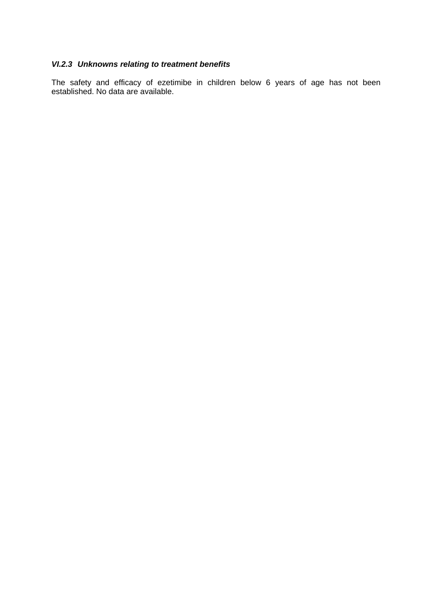## *VI.2.3 Unknowns relating to treatment benefits*

The safety and efficacy of ezetimibe in children below 6 years of age has not been established. No data are available.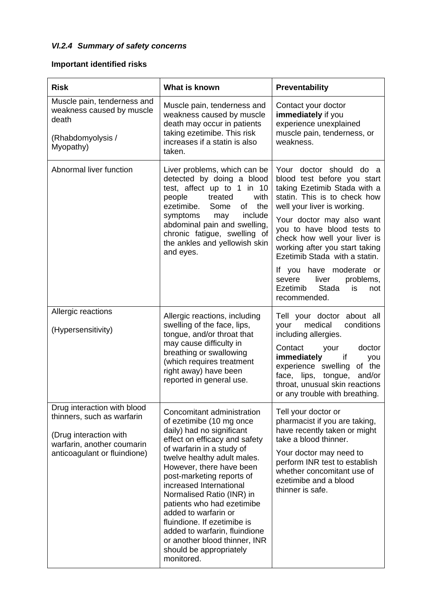# *VI.2.4 Summary of safety concerns*

# **Important identified risks**

| <b>Risk</b>                                                                                                                                       | What is known                                                                                                                                                                                                                                                                                                                                                                                                                                                                                     | Preventability                                                                                                                                                                                                                                                                                                                                                                                                                   |
|---------------------------------------------------------------------------------------------------------------------------------------------------|---------------------------------------------------------------------------------------------------------------------------------------------------------------------------------------------------------------------------------------------------------------------------------------------------------------------------------------------------------------------------------------------------------------------------------------------------------------------------------------------------|----------------------------------------------------------------------------------------------------------------------------------------------------------------------------------------------------------------------------------------------------------------------------------------------------------------------------------------------------------------------------------------------------------------------------------|
| Muscle pain, tenderness and<br>weakness caused by muscle<br>death<br>(Rhabdomyolysis /<br>Myopathy)                                               | Muscle pain, tenderness and<br>weakness caused by muscle<br>death may occur in patients<br>taking ezetimibe. This risk<br>increases if a statin is also<br>taken.                                                                                                                                                                                                                                                                                                                                 | Contact your doctor<br>immediately if you<br>experience unexplained<br>muscle pain, tenderness, or<br>weakness.                                                                                                                                                                                                                                                                                                                  |
| Abnormal liver function                                                                                                                           | Liver problems, which can be<br>detected by doing a blood<br>test, affect up to 1 in 10<br>people<br>treated<br>with<br>ezetimibe.<br>Some<br>of<br>the<br>symptoms<br>include<br>may<br>abdominal pain and swelling,<br>chronic fatigue, swelling of<br>the ankles and yellowish skin<br>and eyes.                                                                                                                                                                                               | Your doctor should do a<br>blood test before you start<br>taking Ezetimib Stada with a<br>statin. This is to check how<br>well your liver is working.<br>Your doctor may also want<br>you to have blood tests to<br>check how well your liver is<br>working after you start taking<br>Ezetimib Stada with a statin.<br>If you have moderate or<br>liver<br>severe<br>problems,<br>Stada<br>Ezetimib<br>is<br>not<br>recommended. |
| Allergic reactions<br>(Hypersensitivity)                                                                                                          | Allergic reactions, including<br>swelling of the face, lips,<br>tongue, and/or throat that<br>may cause difficulty in<br>breathing or swallowing<br>(which requires treatment<br>right away) have been<br>reported in general use.                                                                                                                                                                                                                                                                | Tell your doctor about all<br>medical<br>conditions<br>your<br>including allergies.<br>Contact<br>doctor<br>your<br>immediately<br>if<br>you<br>experience swelling<br>of the<br>face, lips, tongue,<br>and/or<br>throat, unusual skin reactions<br>or any trouble with breathing.                                                                                                                                               |
| Drug interaction with blood<br>thinners, such as warfarin<br>(Drug interaction with<br>warfarin, another coumarin<br>anticoagulant or fluindione) | Concomitant administration<br>of ezetimibe (10 mg once<br>daily) had no significant<br>effect on efficacy and safety<br>of warfarin in a study of<br>twelve healthy adult males.<br>However, there have been<br>post-marketing reports of<br>increased International<br>Normalised Ratio (INR) in<br>patients who had ezetimibe<br>added to warfarin or<br>fluindione. If ezetimibe is<br>added to warfarin, fluindione<br>or another blood thinner, INR<br>should be appropriately<br>monitored. | Tell your doctor or<br>pharmacist if you are taking,<br>have recently taken or might<br>take a blood thinner.<br>Your doctor may need to<br>perform INR test to establish<br>whether concomitant use of<br>ezetimibe and a blood<br>thinner is safe.                                                                                                                                                                             |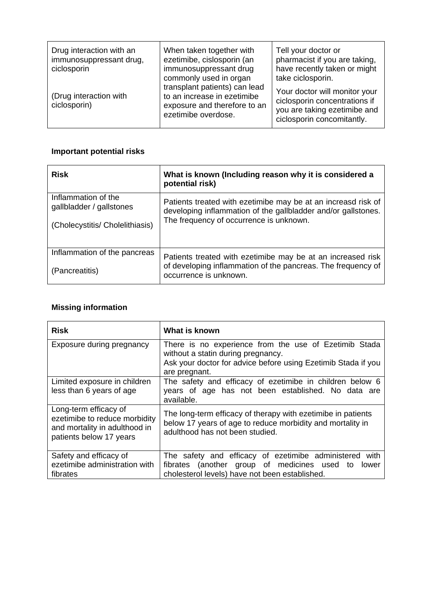| Drug interaction with an<br>immunosuppressant drug,<br>ciclosporin | When taken together with<br>ezetimibe, cislosporin (an<br>immunosuppressant drug<br>commonly used in organ<br>transplant patients) can lead<br>to an increase in ezetimibe<br>exposure and therefore to an<br>ezetimibe overdose. | Tell your doctor or<br>pharmacist if you are taking,<br>have recently taken or might<br>take ciclosporin.                    |
|--------------------------------------------------------------------|-----------------------------------------------------------------------------------------------------------------------------------------------------------------------------------------------------------------------------------|------------------------------------------------------------------------------------------------------------------------------|
| (Drug interaction with<br>ciclosporin)                             |                                                                                                                                                                                                                                   | Your doctor will monitor your<br>ciclosporin concentrations if<br>you are taking ezetimibe and<br>ciclosporin concomitantly. |

# **Important potential risks**

| <b>Risk</b>                                                                        | What is known (Including reason why it is considered a<br>potential risk)                                                                                                 |
|------------------------------------------------------------------------------------|---------------------------------------------------------------------------------------------------------------------------------------------------------------------------|
| Inflammation of the<br>gallbladder / gallstones<br>(Cholecystitis/ Cholelithiasis) | Patients treated with ezetimibe may be at an increasd risk of<br>developing inflammation of the gallbladder and/or gallstones.<br>The frequency of occurrence is unknown. |
| Inflammation of the pancreas<br>(Pancreatitis)                                     | Patients treated with ezetimibe may be at an increased risk<br>of developing inflammation of the pancreas. The frequency of<br>occurrence is unknown.                     |

# **Missing information**

| <b>Risk</b>                                                                                                        | What is known                                                                                                                                                                 |
|--------------------------------------------------------------------------------------------------------------------|-------------------------------------------------------------------------------------------------------------------------------------------------------------------------------|
| Exposure during pregnancy                                                                                          | There is no experience from the use of Ezetimib Stada<br>without a statin during pregnancy.<br>Ask your doctor for advice before using Ezetimib Stada if you<br>are pregnant. |
| Limited exposure in children<br>less than 6 years of age                                                           | The safety and efficacy of ezetimibe in children below 6<br>years of age has not been established. No data are<br>available.                                                  |
| Long-term efficacy of<br>ezetimibe to reduce morbidity<br>and mortality in adulthood in<br>patients below 17 years | The long-term efficacy of therapy with ezetimibe in patients<br>below 17 years of age to reduce morbidity and mortality in<br>adulthood has not been studied.                 |
| Safety and efficacy of<br>ezetimibe administration with<br>fibrates                                                | The safety and efficacy of ezetimibe administered<br>with<br>(another group of medicines used to<br>fibrates<br>lower<br>cholesterol levels) have not been established.       |